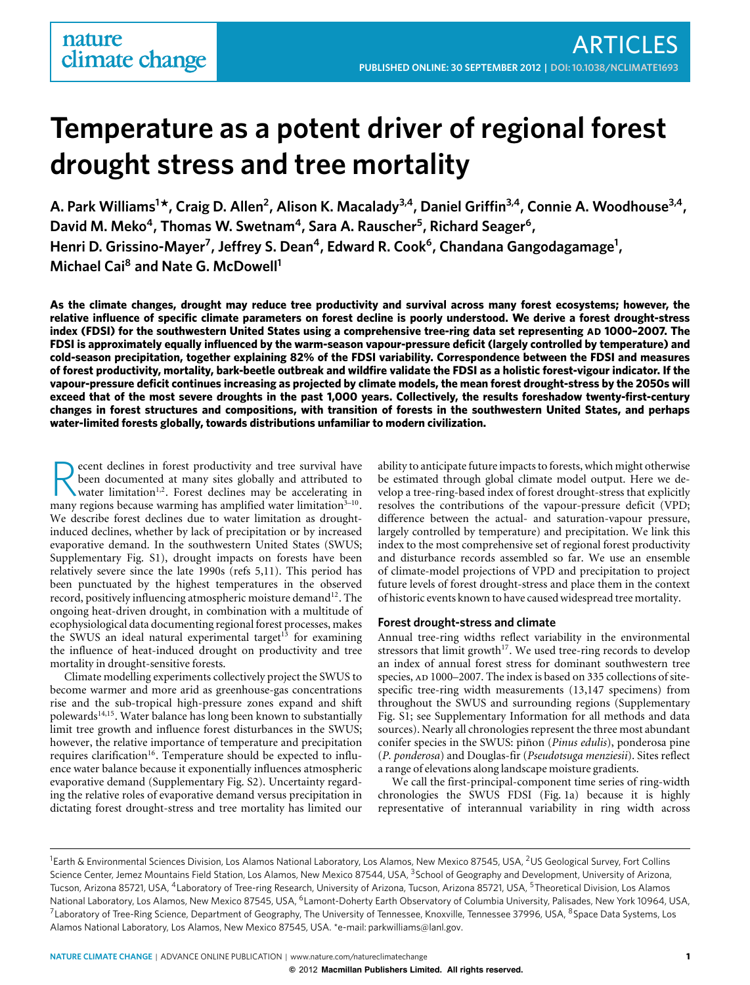# **Temperature as a potent driver of regional forest drought stress and tree mortality**

**A. Park Williams1 \*, Craig D. Allen2, Alison K. Macalady3,4, Daniel Griffin3,4, Connie A. Woodhouse3,4,** David M. Meko<sup>4</sup>, Thomas W. Swetnam<sup>4</sup>, Sara A. Rauscher<sup>5</sup>, Richard Seager<sup>6</sup>, Henri D. Grissino-Mayer<sup>7</sup>, Jeffrey S. Dean<sup>4</sup>, Edward R. Cook<sup>6</sup>, Chandana Gangodagamage<sup>1</sup>, **Michael Cai8 and Nate G. McDowell1**

**As the climate changes, drought may reduce tree productivity and survival across many forest ecosystems; however, the relative influence of specific climate parameters on forest decline is poorly understood. We derive a forest drought-stress index (FDSI) for the southwestern United States using a comprehensive tree-ring data set representing AD 1000–2007. The FDSI is approximately equally influenced by the warm-season vapour-pressure deficit (largely controlled by temperature) and cold-season precipitation, together explaining 82% of the FDSI variability. Correspondence between the FDSI and measures of forest productivity, mortality, bark-beetle outbreak and wildfire validate the FDSI as a holistic forest-vigour indicator. If the vapour-pressure deficit continues increasing as projected by climate models, the mean forest drought-stress by the 2050s will exceed that of the most severe droughts in the past 1,000 years. Collectively, the results foreshadow twenty-first-century changes in forest structures and compositions, with transition of forests in the southwestern United States, and perhaps water-limited forests globally, towards distributions unfamiliar to modern civilization.**

Recent declines in forest productivity and tree survival have<br>been documented at many sites globally and attributed to<br>water limitation<sup>1,2</sup>. Forest declines may be accelerating in<br>may variable useful water limitation<sup>3-10</sup> been documented at many sites globally and attributed to many regions because warming has amplified water limitation<sup>3-10</sup>. We describe forest declines due to water limitation as droughtinduced declines, whether by lack of precipitation or by increased evaporative demand. In the southwestern United States (SWUS; Supplementary Fig. S1), drought impacts on forests have been relatively severe since the late 1990s (refs [5](#page-4-4)[,11\)](#page-4-5). This period has been punctuated by the highest temperatures in the observed record, positively influencing atmospheric moisture demand<sup>12</sup>. The ongoing heat-driven drought, in combination with a multitude of ecophysiological data documenting regional forest processes, makes the SWUS an ideal natural experimental target<sup>13</sup> for examining the influence of heat-induced drought on productivity and tree mortality in drought-sensitive forests.

Climate modelling experiments collectively project the SWUS to become warmer and more arid as greenhouse-gas concentrations rise and the sub-tropical high-pressure zones expand and shift polewards<sup>14,15</sup>. Water balance has long been known to substantially limit tree growth and influence forest disturbances in the SWUS; however, the relative importance of temperature and precipitation requires clarification<sup>16</sup>. Temperature should be expected to influence water balance because it exponentially influences atmospheric evaporative demand (Supplementary Fig. S2). Uncertainty regarding the relative roles of evaporative demand versus precipitation in dictating forest drought-stress and tree mortality has limited our

ability to anticipate future impacts to forests, which might otherwise be estimated through global climate model output. Here we develop a tree-ring-based index of forest drought-stress that explicitly resolves the contributions of the vapour-pressure deficit (VPD; difference between the actual- and saturation-vapour pressure, largely controlled by temperature) and precipitation. We link this index to the most comprehensive set of regional forest productivity and disturbance records assembled so far. We use an ensemble of climate-model projections of VPD and precipitation to project future levels of forest drought-stress and place them in the context of historic events known to have caused widespread tree mortality.

## **Forest drought-stress and climate**

Annual tree-ring widths reflect variability in the environmental stressors that limit growth<sup>17</sup>. We used tree-ring records to develop an index of annual forest stress for dominant southwestern tree species, AD 1000–2007. The index is based on 335 collections of sitespecific tree-ring width measurements (13,147 specimens) from throughout the SWUS and surrounding regions (Supplementary Fig. S1; see Supplementary Information for all methods and data sources). Nearly all chronologies represent the three most abundant conifer species in the SWUS: piñon (*Pinus edulis*), ponderosa pine (*P. ponderosa*) and Douglas-fir (*Pseudotsuga menziesii*). Sites reflect a range of elevations along landscape moisture gradients.

We call the first-principal-component time series of ring-width chronologies the SWUS FDSI [\(Fig. 1a](#page-1-0)) because it is highly representative of interannual variability in ring width across

<sup>&</sup>lt;sup>1</sup>Earth & Environmental Sciences Division, Los Alamos National Laboratory, Los Alamos, New Mexico 87545, USA, <sup>2</sup>US Geological Survey, Fort Collins Science Center, Jemez Mountains Field Station, Los Alamos, New Mexico 87544, USA, <sup>3</sup>School of Geography and Development, University of Arizona, Tucson, Arizona 85721, USA, <sup>4</sup>Laboratory of Tree-ring Research, University of Arizona, Tucson, Arizona 85721, USA, <sup>5</sup>Theoretical Division, Los Alamos National Laboratory, Los Alamos, New Mexico 87545, USA, <sup>6</sup>Lamont-Doherty Earth Observatory of Columbia University, Palisades, New York 10964, USA, <sup>7</sup> Laboratory of Tree-Ring Science, Department of Geography, The University of Tennessee, Knoxville, Tennessee 37996, USA, <sup>8</sup>Space Data Systems, Los Alamos National Laboratory, Los Alamos, New Mexico 87545, USA. \*e-mail[: parkwilliams@lanl.gov.](mailto:parkwilliams@lanl.gov)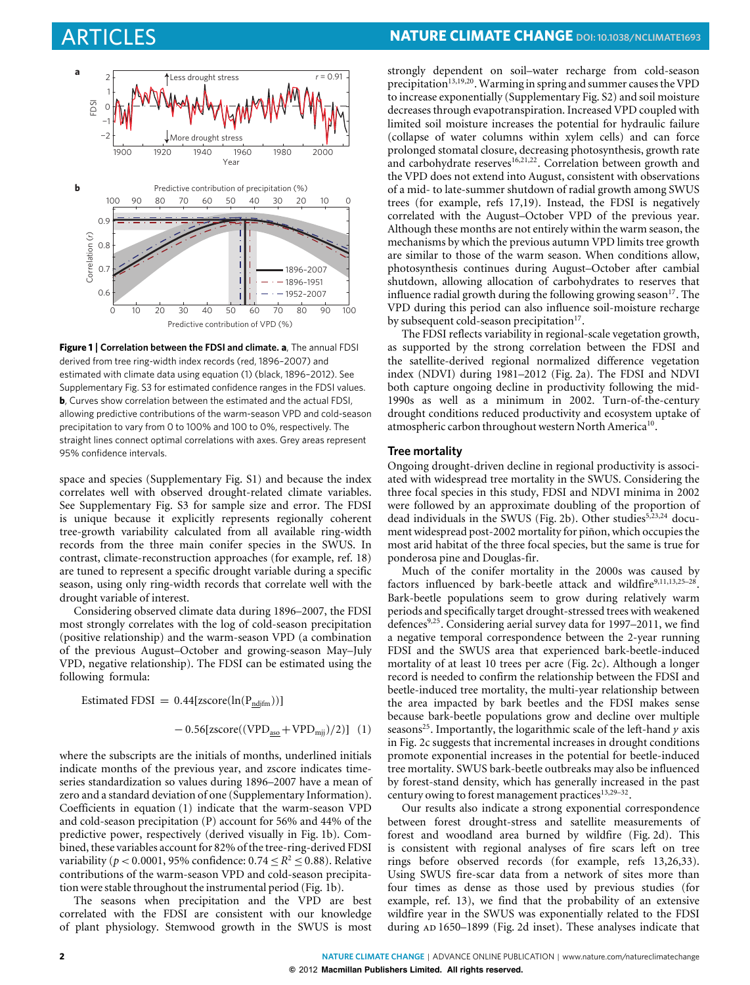

<span id="page-1-0"></span>**Figure 1** | **Correlation between the FDSI and climate. a**, The annual FDSI derived from tree ring-width index records (red, 1896–2007) and estimated with climate data using equation [\(1\)](#page-1-1) (black, 1896–2012). See Supplementary Fig. S3 for estimated confidence ranges in the FDSI values. **b**, Curves show correlation between the estimated and the actual FDSI, allowing predictive contributions of the warm-season VPD and cold-season precipitation to vary from 0 to 100% and 100 to 0%, respectively. The straight lines connect optimal correlations with axes. Grey areas represent 95% confidence intervals.

space and species (Supplementary Fig. S1) and because the index correlates well with observed drought-related climate variables. See Supplementary Fig. S3 for sample size and error. The FDSI is unique because it explicitly represents regionally coherent tree-growth variability calculated from all available ring-width records from the three main conifer species in the SWUS. In contrast, climate-reconstruction approaches (for example, ref. [18\)](#page-4-12) are tuned to represent a specific drought variable during a specific season, using only ring-width records that correlate well with the drought variable of interest.

Considering observed climate data during 1896–2007, the FDSI most strongly correlates with the log of cold-season precipitation (positive relationship) and the warm-season VPD (a combination of the previous August–October and growing-season May–July VPD, negative relationship). The FDSI can be estimated using the following formula:

<span id="page-1-1"></span>Estimated FDSI =  $0.44$ [zscore(ln(P<sub>ndjfm</sub>))]

$$
-0.56[zscore((VPD_{\underline{aso}}+VPD_{\underline{m}jj})/2)] \ (1)
$$

where the subscripts are the initials of months, underlined initials indicate months of the previous year, and zscore indicates timeseries standardization so values during 1896–2007 have a mean of zero and a standard deviation of one (Supplementary Information). Coefficients in equation [\(1\)](#page-1-1) indicate that the warm-season VPD and cold-season precipitation (P) account for 56% and 44% of the predictive power, respectively (derived visually in [Fig. 1b](#page-1-0)). Combined, these variables account for 82% of the tree-ring-derived FDSI variability ( $p < 0.0001$ , 95% confidence:  $0.74 \le R^2 \le 0.88$ ). Relative contributions of the warm-season VPD and cold-season precipitation were stable throughout the instrumental period [\(Fig. 1b](#page-1-0)).

The seasons when precipitation and the VPD are best correlated with the FDSI are consistent with our knowledge of plant physiology. Stemwood growth in the SWUS is most strongly dependent on soil–water recharge from cold-season precipitation<sup>13,[19](#page-5-0),20</sup>. Warming in spring and summer causes the VPD to increase exponentially (Supplementary Fig. S2) and soil moisture decreases through evapotranspiration. Increased VPD coupled with limited soil moisture increases the potential for hydraulic failure (collapse of water columns within xylem cells) and can force prolonged stomatal closure, decreasing photosynthesis, growth rate and carbohydrate reserves<sup>16[,21,](#page-5-2)22</sup>. Correlation between growth and the VPD does not extend into August, consistent with observations of a mid- to late-summer shutdown of radial growth among SWUS trees (for example, refs [17](#page-4-11)[,19\)](#page-5-0). Instead, the FDSI is negatively correlated with the August–October VPD of the previous year. Although these months are not entirely within the warm season, the mechanisms by which the previous autumn VPD limits tree growth are similar to those of the warm season. When conditions allow, photosynthesis continues during August–October after cambial shutdown, allowing allocation of carbohydrates to reserves that influence radial growth during the following growing season<sup>17</sup>. The VPD during this period can also influence soil-moisture recharge by subsequent cold-season precipitation $17$ .

The FDSI reflects variability in regional-scale vegetation growth, as supported by the strong correlation between the FDSI and the satellite-derived regional normalized difference vegetation index (NDVI) during 1981–2012 [\(Fig. 2a](#page-2-0)). The FDSI and NDVI both capture ongoing decline in productivity following the mid-1990s as well as a minimum in 2002. Turn-of-the-century drought conditions reduced productivity and ecosystem uptake of atmospheric carbon throughout western North America<sup>10</sup>.

#### **Tree mortality**

Ongoing drought-driven decline in regional productivity is associated with widespread tree mortality in the SWUS. Considering the three focal species in this study, FDSI and NDVI minima in 2002 were followed by an approximate doubling of the proportion of dead individuals in the SWUS [\(Fig. 2b](#page-2-0)). Other studies<sup>5,[23](#page-5-4)[,24](#page-5-5)</sup> document widespread post-2002 mortality for piñon, which occupies the most arid habitat of the three focal species, but the same is true for ponderosa pine and Douglas-fir.

Much of the conifer mortality in the 2000s was caused by factors influenced by bark-beetle attack and wildfir[e9](#page-4-13)[,11,](#page-4-5)[13](#page-4-7)[,25](#page-5-6)-28 Bark-beetle populations seem to grow during relatively warm periods and specifically target drought-stressed trees with weakened defences<sup>9,[25](#page-5-6)</sup>. Considering aerial survey data for 1997–2011, we find a negative temporal correspondence between the 2-year running FDSI and the SWUS area that experienced bark-beetle-induced mortality of at least 10 trees per acre [\(Fig. 2c](#page-2-0)). Although a longer record is needed to confirm the relationship between the FDSI and beetle-induced tree mortality, the multi-year relationship between the area impacted by bark beetles and the FDSI makes sense because bark-beetle populations grow and decline over multiple seasons<sup>25</sup>. Importantly, the logarithmic scale of the left-hand *y* axis in [Fig. 2c](#page-2-0) suggests that incremental increases in drought conditions promote exponential increases in the potential for beetle-induced tree mortality. SWUS bark-beetle outbreaks may also be influenced by forest-stand density, which has generally increased in the past century owing to forest management practices<sup>13[,29](#page-5-8)-32</sup>.

Our results also indicate a strong exponential correspondence between forest drought-stress and satellite measurements of forest and woodland area burned by wildfire [\(Fig. 2d](#page-2-0)). This is consistent with regional analyses of fire scars left on tree rings before observed records (for example, refs [13,](#page-4-7)[26,](#page-5-10)[33\)](#page-5-11). Using SWUS fire-scar data from a network of sites more than four times as dense as those used by previous studies (for example, ref. [13\)](#page-4-7), we find that the probability of an extensive wildfire year in the SWUS was exponentially related to the FDSI during AD 1650–1899 [\(Fig. 2d](#page-2-0) inset). These analyses indicate that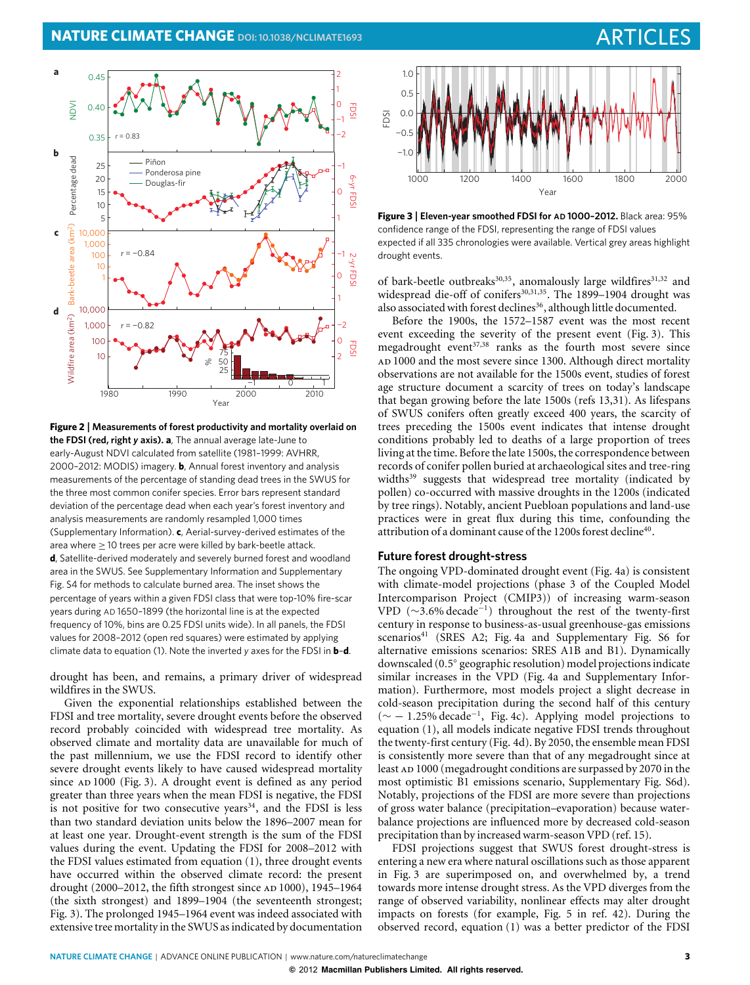

<span id="page-2-0"></span>**Figure 2** | **Measurements of forest productivity and mortality overlaid on the FDSI (red, right** *y* **axis). a**, The annual average late-June to early-August NDVI calculated from satellite (1981–1999: AVHRR, 2000–2012: MODIS) imagery. **b**, Annual forest inventory and analysis measurements of the percentage of standing dead trees in the SWUS for the three most common conifer species. Error bars represent standard deviation of the percentage dead when each year's forest inventory and analysis measurements are randomly resampled 1,000 times (Supplementary Information). **c**, Aerial-survey-derived estimates of the area where ≥ 10 trees per acre were killed by bark-beetle attack. **d**, Satellite-derived moderately and severely burned forest and woodland area in the SWUS. See Supplementary Information and Supplementary Fig. S4 for methods to calculate burned area. The inset shows the percentage of years within a given FDSI class that were top-10% fire-scar years during AD 1650–1899 (the horizontal line is at the expected frequency of 10%, bins are 0.25 FDSI units wide). In all panels, the FDSI values for 2008–2012 (open red squares) were estimated by applying climate data to equation [\(1\).](#page-1-1) Note the inverted *y* axes for the FDSI in **b**–**d**.

drought has been, and remains, a primary driver of widespread wildfires in the SWUS.

Given the exponential relationships established between the FDSI and tree mortality, severe drought events before the observed record probably coincided with widespread tree mortality. As observed climate and mortality data are unavailable for much of the past millennium, we use the FDSI record to identify other severe drought events likely to have caused widespread mortality since AD 1000 [\(Fig. 3\)](#page-2-1). A drought event is defined as any period greater than three years when the mean FDSI is negative, the FDSI is not positive for two consecutive years $34$ , and the FDSI is less than two standard deviation units below the 1896–2007 mean for at least one year. Drought-event strength is the sum of the FDSI values during the event. Updating the FDSI for 2008–2012 with the FDSI values estimated from equation [\(1\)](#page-1-1), three drought events have occurred within the observed climate record: the present drought (2000–2012, the fifth strongest since AD 1000), 1945–1964 (the sixth strongest) and 1899–1904 (the seventeenth strongest; [Fig. 3\)](#page-2-1). The prolonged 1945–1964 event was indeed associated with extensive tree mortality in the SWUS as indicated by documentation



<span id="page-2-1"></span>**Figure 3** | **Eleven-year smoothed FDSI for AD 1000–2012.** Black area: 95% confidence range of the FDSI, representing the range of FDSI values expected if all 335 chronologies were available. Vertical grey areas highlight drought events.

of bark-beetle outbreaks<sup>30,35</sup>, anomalously large wildfires<sup>31,[32](#page-5-9)</sup> and widespread die-off of conifers<sup>30,[31](#page-5-15),35</sup>. The 1899–1904 drought was also associated with forest declines<sup>36</sup>, although little documented.

Before the 1900s, the 1572–1587 event was the most recent event exceeding the severity of the present event [\(Fig. 3\)](#page-2-1). This megadrought event<sup>37,[38](#page-5-18)</sup> ranks as the fourth most severe since ad 1000 and the most severe since 1300. Although direct mortality observations are not available for the 1500s event, studies of forest age structure document a scarcity of trees on today's landscape that began growing before the late 1500s (refs [13](#page-4-7)[,31\)](#page-5-15). As lifespans of SWUS conifers often greatly exceed 400 years, the scarcity of trees preceding the 1500s event indicates that intense drought conditions probably led to deaths of a large proportion of trees living at the time. Before the late 1500s, the correspondence between records of conifer pollen buried at archaeological sites and tree-ring widths<sup>39</sup> suggests that widespread tree mortality (indicated by pollen) co-occurred with massive droughts in the 1200s (indicated by tree rings). Notably, ancient Puebloan populations and land-use practices were in great flux during this time, confounding the attribution of a dominant cause of the 1200s forest decline<sup>40</sup>.

#### **Future forest drought-stress**

The ongoing VPD-dominated drought event [\(Fig. 4a](#page-3-0)) is consistent with climate-model projections (phase 3 of the Coupled Model Intercomparison Project (CMIP3)) of increasing warm-season VPD (∼3*.*6% decade−1) throughout the rest of the twenty-first century in response to business-as-usual greenhouse-gas emissions scenarios<sup>41</sup> (SRES A2; [Fig. 4a](#page-3-0) and Supplementary Fig. S6 for alternative emissions scenarios: SRES A1B and B1). Dynamically downscaled (0*.*5◦ geographic resolution) model projections indicate similar increases in the VPD [\(Fig. 4a](#page-3-0) and Supplementary Information). Furthermore, most models project a slight decrease in cold-season precipitation during the second half of this century (∼ − 1*.*25% decade−1, [Fig. 4c](#page-3-0)). Applying model projections to equation [\(1\)](#page-1-1), all models indicate negative FDSI trends throughout the twenty-first century [\(Fig. 4d](#page-3-0)). By 2050, the ensemble mean FDSI is consistently more severe than that of any megadrought since at least AD 1000 (megadrought conditions are surpassed by 2070 in the most optimistic B1 emissions scenario, Supplementary Fig. S6d). Notably, projections of the FDSI are more severe than projections of gross water balance (precipitation–evaporation) because waterbalance projections are influenced more by decreased cold-season precipitation than by increased warm-season VPD (ref. [15\)](#page-4-9).

FDSI projections suggest that SWUS forest drought-stress is entering a new era where natural oscillations such as those apparent in [Fig. 3](#page-2-1) are superimposed on, and overwhelmed by, a trend towards more intense drought stress. As the VPD diverges from the range of observed variability, nonlinear effects may alter drought impacts on forests (for example, Fig. 5 in ref. [42\)](#page-5-22). During the observed record, equation [\(1\)](#page-1-1) was a better predictor of the FDSI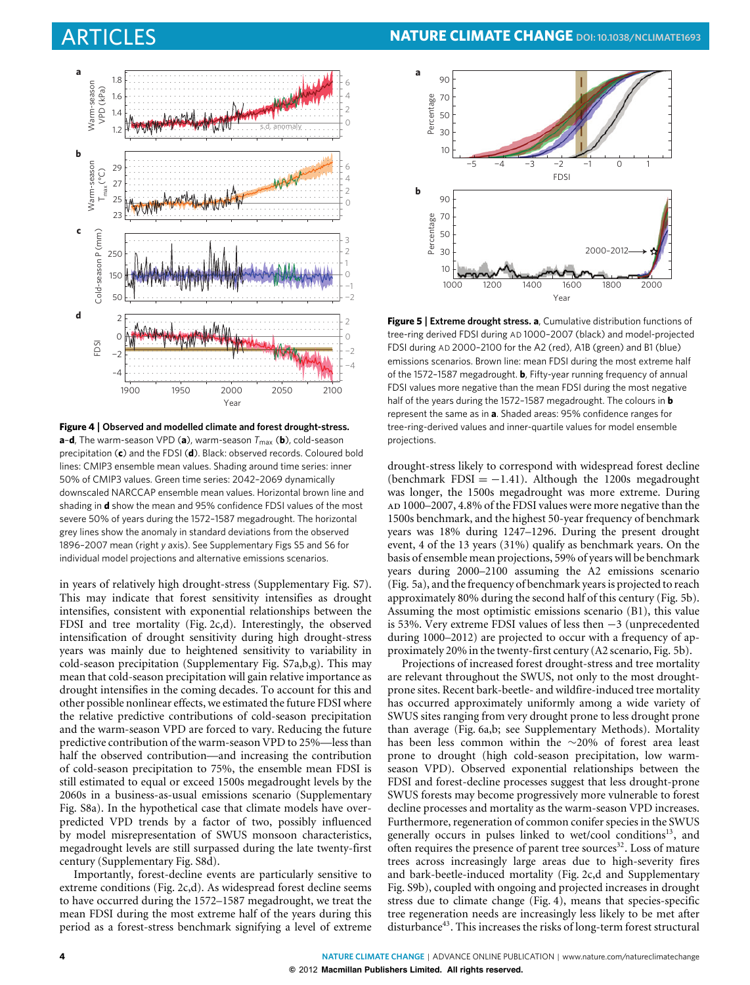

<span id="page-3-0"></span>**Figure 4** | **Observed and modelled climate and forest drought-stress. a-d**, The warm-season VPD (**a**), warm-season  $T_{\text{max}}$  (**b**), cold-season precipitation (**c**) and the FDSI (**d**). Black: observed records. Coloured bold lines: CMIP3 ensemble mean values. Shading around time series: inner 50% of CMIP3 values. Green time series: 2042–2069 dynamically downscaled NARCCAP ensemble mean values. Horizontal brown line and shading in **d** show the mean and 95% confidence FDSI values of the most severe 50% of years during the 1572–1587 megadrought. The horizontal grey lines show the anomaly in standard deviations from the observed 1896–2007 mean (right *y* axis). See Supplementary Figs S5 and S6 for individual model projections and alternative emissions scenarios.

in years of relatively high drought-stress (Supplementary Fig. S7). This may indicate that forest sensitivity intensifies as drought intensifies, consistent with exponential relationships between the FDSI and tree mortality [\(Fig. 2c](#page-2-0),d). Interestingly, the observed intensification of drought sensitivity during high drought-stress years was mainly due to heightened sensitivity to variability in cold-season precipitation (Supplementary Fig. S7a,b,g). This may mean that cold-season precipitation will gain relative importance as drought intensifies in the coming decades. To account for this and other possible nonlinear effects, we estimated the future FDSI where the relative predictive contributions of cold-season precipitation and the warm-season VPD are forced to vary. Reducing the future predictive contribution of the warm-season VPD to 25%—less than half the observed contribution—and increasing the contribution of cold-season precipitation to 75%, the ensemble mean FDSI is still estimated to equal or exceed 1500s megadrought levels by the 2060s in a business-as-usual emissions scenario (Supplementary Fig. S8a). In the hypothetical case that climate models have overpredicted VPD trends by a factor of two, possibly influenced by model misrepresentation of SWUS monsoon characteristics, megadrought levels are still surpassed during the late twenty-first century (Supplementary Fig. S8d).

Importantly, forest-decline events are particularly sensitive to extreme conditions [\(Fig. 2c](#page-2-0),d). As widespread forest decline seems to have occurred during the 1572–1587 megadrought, we treat the mean FDSI during the most extreme half of the years during this period as a forest-stress benchmark signifying a level of extreme



<span id="page-3-1"></span>**Figure 5** | **Extreme drought stress. a**, Cumulative distribution functions of tree-ring derived FDSI during AD 1000–2007 (black) and model-projected FDSI during AD 2000–2100 for the A2 (red), A1B (green) and B1 (blue) emissions scenarios. Brown line: mean FDSI during the most extreme half of the 1572–1587 megadrought. **b**, Fifty-year running frequency of annual FDSI values more negative than the mean FDSI during the most negative half of the years during the 1572–1587 megadrought. The colours in **b** represent the same as in **a**. Shaded areas: 95% confidence ranges for tree-ring-derived values and inner-quartile values for model ensemble projections.

drought-stress likely to correspond with widespread forest decline (benchmark FDSI =  $-1.41$ ). Although the 1200s megadrought was longer, the 1500s megadrought was more extreme. During ad 1000–2007, 4.8% of the FDSI values were more negative than the 1500s benchmark, and the highest 50-year frequency of benchmark years was 18% during 1247–1296. During the present drought event, 4 of the 13 years (31%) qualify as benchmark years. On the basis of ensemble mean projections, 59% of years will be benchmark years during 2000–2100 assuming the A2 emissions scenario [\(Fig. 5a](#page-3-1)), and the frequency of benchmark years is projected to reach approximately 80% during the second half of this century [\(Fig. 5b](#page-3-1)). Assuming the most optimistic emissions scenario (B1), this value is 53%. Very extreme FDSI values of less then −3 (unprecedented during 1000–2012) are projected to occur with a frequency of approximately 20% in the twenty-first century (A2 scenario, [Fig. 5b](#page-3-1)).

Projections of increased forest drought-stress and tree mortality are relevant throughout the SWUS, not only to the most droughtprone sites. Recent bark-beetle- and wildfire-induced tree mortality has occurred approximately uniformly among a wide variety of SWUS sites ranging from very drought prone to less drought prone than average [\(Fig. 6a](#page-4-14),b; see Supplementary Methods). Mortality has been less common within the ∼20% of forest area least prone to drought (high cold-season precipitation, low warmseason VPD). Observed exponential relationships between the FDSI and forest-decline processes suggest that less drought-prone SWUS forests may become progressively more vulnerable to forest decline processes and mortality as the warm-season VPD increases. Furthermore, regeneration of common conifer species in the SWUS generally occurs in pulses linked to wet/cool conditions<sup>13</sup>, and often requires the presence of parent tree sources<sup>32</sup>. Loss of mature trees across increasingly large areas due to high-severity fires and bark-beetle-induced mortality [\(Fig. 2c](#page-2-0),d and Supplementary Fig. S9b), coupled with ongoing and projected increases in drought stress due to climate change [\(Fig. 4\)](#page-3-0), means that species-specific tree regeneration needs are increasingly less likely to be met after disturbance<sup>43</sup>. This increases the risks of long-term forest structural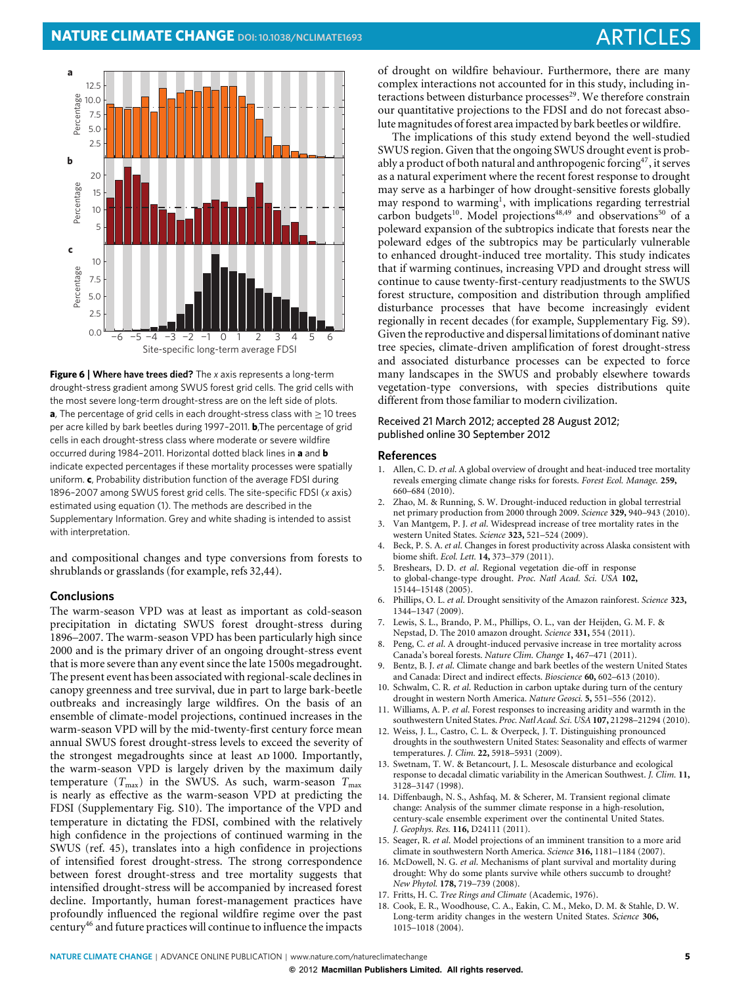

<span id="page-4-14"></span>**Figure 6** | **Where have trees died?** The *x* axis represents a long-term drought-stress gradient among SWUS forest grid cells. The grid cells with the most severe long-term drought-stress are on the left side of plots. **a**, The percentage of grid cells in each drought-stress class with ≥ 10 trees per acre killed by bark beetles during 1997–2011. **b**,The percentage of grid cells in each drought-stress class where moderate or severe wildfire occurred during 1984–2011. Horizontal dotted black lines in **a** and **b** indicate expected percentages if these mortality processes were spatially uniform. **c**, Probability distribution function of the average FDSI during 1896–2007 among SWUS forest grid cells. The site-specific FDSI (*x* axis) estimated using equation [\(1\).](#page-1-1) The methods are described in the Supplementary Information. Grey and white shading is intended to assist with interpretation.

and compositional changes and type conversions from forests to shrublands or grasslands (for example, refs [32](#page-5-9)[,44\)](#page-5-24).

## **Conclusions**

The warm-season VPD was at least as important as cold-season precipitation in dictating SWUS forest drought-stress during 1896–2007. The warm-season VPD has been particularly high since 2000 and is the primary driver of an ongoing drought-stress event that is more severe than any event since the late 1500s megadrought. The present event has been associated with regional-scale declines in canopy greenness and tree survival, due in part to large bark-beetle outbreaks and increasingly large wildfires. On the basis of an ensemble of climate-model projections, continued increases in the warm-season VPD will by the mid-twenty-first century force mean annual SWUS forest drought-stress levels to exceed the severity of the strongest megadroughts since at least AD 1000. Importantly, the warm-season VPD is largely driven by the maximum daily temperature  $(T_{\text{max}})$  in the SWUS. As such, warm-season  $T_{\text{max}}$ is nearly as effective as the warm-season VPD at predicting the FDSI (Supplementary Fig. S10). The importance of the VPD and temperature in dictating the FDSI, combined with the relatively high confidence in the projections of continued warming in the SWUS (ref. [45\)](#page-5-25), translates into a high confidence in projections of intensified forest drought-stress. The strong correspondence between forest drought-stress and tree mortality suggests that intensified drought-stress will be accompanied by increased forest decline. Importantly, human forest-management practices have profoundly influenced the regional wildfire regime over the past centur[y46](#page-5-26) and future practices will continue to influence the impacts

of drought on wildfire behaviour. Furthermore, there are many complex interactions not accounted for in this study, including interactions between disturbance processes<sup>29</sup>. We therefore constrain our quantitative projections to the FDSI and do not forecast absolute magnitudes of forest area impacted by bark beetles or wildfire.

The implications of this study extend beyond the well-studied SWUS region. Given that the ongoing SWUS drought event is probably a product of both natural and anthropogenic forcin[g47,](#page-5-27) it serves as a natural experiment where the recent forest response to drought may serve as a harbinger of how drought-sensitive forests globally may respond to warming<sup>1</sup>, with implications regarding terrestrial carbon budgets<sup>10</sup>. Model projections<sup>48,[49](#page-5-29)</sup> and observations<sup>50</sup> of a poleward expansion of the subtropics indicate that forests near the poleward edges of the subtropics may be particularly vulnerable to enhanced drought-induced tree mortality. This study indicates that if warming continues, increasing VPD and drought stress will continue to cause twenty-first-century readjustments to the SWUS forest structure, composition and distribution through amplified disturbance processes that have become increasingly evident regionally in recent decades (for example, Supplementary Fig. S9). Given the reproductive and dispersal limitations of dominant native tree species, climate-driven amplification of forest drought-stress and associated disturbance processes can be expected to force many landscapes in the SWUS and probably elsewhere towards vegetation-type conversions, with species distributions quite different from those familiar to modern civilization.

#### Received 21 March 2012; accepted 28 August 2012; published online 30 September 2012

#### **References**

- <span id="page-4-0"></span>1. Allen, C. D. *et al*. A global overview of drought and heat-induced tree mortality reveals emerging climate change risks for forests. *Forest Ecol. Manage.* **259,** 660–684 (2010).
- <span id="page-4-1"></span>2. Zhao, M. & Running, S. W. Drought-induced reduction in global terrestrial net primary production from 2000 through 2009. *Science* **329,** 940–943 (2010).
- <span id="page-4-2"></span>3. Van Mantgem, P. J. *et al*. Widespread increase of tree mortality rates in the western United States. *Science* **323,** 521–524 (2009).
- 4. Beck, P. S. A. *et al*. Changes in forest productivity across Alaska consistent with biome shift. *Ecol. Lett.* **14,** 373–379 (2011).
- <span id="page-4-4"></span>5. Breshears, D. D. *et al*. Regional vegetation die-off in response to global-change-type drought. *Proc. Natl Acad. Sci. USA* **102,** 15144–15148 (2005).
- 6. Phillips, O. L. *et al*. Drought sensitivity of the Amazon rainforest. *Science* **323,** 1344–1347 (2009).
- 7. Lewis, S. L., Brando, P. M., Phillips, O. L., van der Heijden, G. M. F. & Nepstad, D. The 2010 amazon drought. *Science* **331,** 554 (2011).
- 8. Peng, C. *et al*. A drought-induced pervasive increase in tree mortality across Canada's boreal forests. *Nature Clim. Change* **1,** 467–471 (2011).
- <span id="page-4-13"></span>9. Bentz, B. J. *et al*. Climate change and bark beetles of the western United States and Canada: Direct and indirect effects. *Bioscience* **60,** 602–613 (2010).
- <span id="page-4-3"></span>10. Schwalm, C. R. *et al*. Reduction in carbon uptake during turn of the century drought in western North America. *Nature Geosci.* **5,** 551–556 (2012).
- <span id="page-4-5"></span>11. Williams, A. P. *et al*. Forest responses to increasing aridity and warmth in the southwestern United States. *Proc. Natl Acad. Sci. USA* **107,** 21298–21294 (2010).
- <span id="page-4-6"></span>12. Weiss, J. L., Castro, C. L. & Overpeck, J. T. Distinguishing pronounced droughts in the southwestern United States: Seasonality and effects of warmer temperatures. *J. Clim.* **22,** 5918–5931 (2009).
- <span id="page-4-7"></span>13. Swetnam, T. W. & Betancourt, J. L. Mesoscale disturbance and ecological response to decadal climatic variability in the American Southwest. *J. Clim.* **11,** 3128–3147 (1998).
- <span id="page-4-8"></span>14. Diffenbaugh, N. S., Ashfaq, M. & Scherer, M. Transient regional climate change: Analysis of the summer climate response in a high-resolution, century-scale ensemble experiment over the continental United States. *J. Geophys. Res.* **116,** D24111 (2011).
- <span id="page-4-9"></span>15. Seager, R. *et al*. Model projections of an imminent transition to a more arid climate in southwestern North America. *Science* **316,** 1181–1184 (2007).
- <span id="page-4-10"></span>16. McDowell, N. G. *et al*. Mechanisms of plant survival and mortality during drought: Why do some plants survive while others succumb to drought? *New Phytol.* **178,** 719–739 (2008).
- <span id="page-4-11"></span>17. Fritts, H. C. *Tree Rings and Climate* (Academic, 1976).
- <span id="page-4-12"></span>18. Cook, E. R., Woodhouse, C. A., Eakin, C. M., Meko, D. M. & Stahle, D. W. Long-term aridity changes in the western United States. *Science* **306,** 1015–1018 (2004).